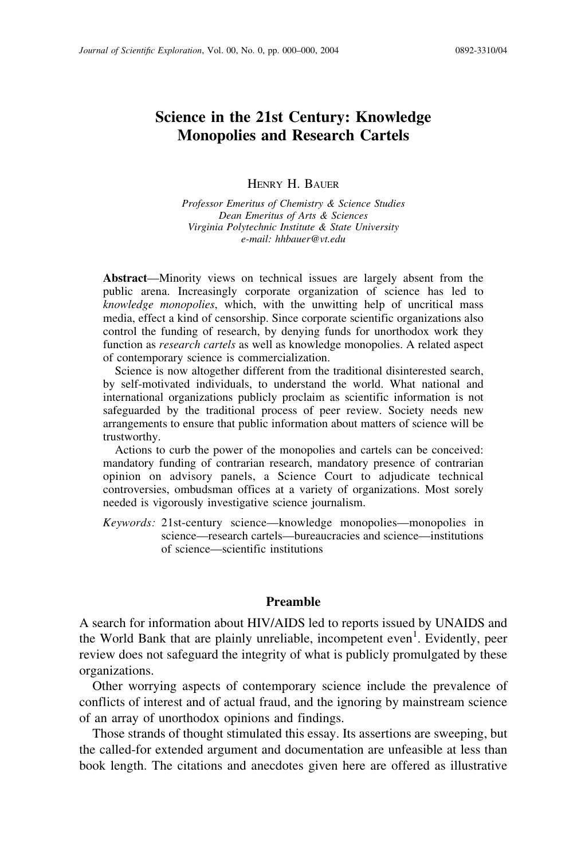# Science in the 21st Century: Knowledge Monopolies and Research Cartels

HENRY H. BAUER

Professor Emeritus of Chemistry & Science Studies Dean Emeritus of Arts & Sciences Virginia Polytechnic Institute & State University e-mail: hhbauer@vt.edu

Abstract—Minority views on technical issues are largely absent from the public arena. Increasingly corporate organization of science has led to knowledge monopolies, which, with the unwitting help of uncritical mass media, effect a kind of censorship. Since corporate scientific organizations also control the funding of research, by denying funds for unorthodox work they function as *research cartels* as well as knowledge monopolies. A related aspect of contemporary science is commercialization.

Science is now altogether different from the traditional disinterested search, by self-motivated individuals, to understand the world. What national and international organizations publicly proclaim as scientific information is not safeguarded by the traditional process of peer review. Society needs new arrangements to ensure that public information about matters of science will be trustworthy.

Actions to curb the power of the monopolies and cartels can be conceived: mandatory funding of contrarian research, mandatory presence of contrarian opinion on advisory panels, a Science Court to adjudicate technical controversies, ombudsman offices at a variety of organizations. Most sorely needed is vigorously investigative science journalism.

Keywords: 21st-century science—knowledge monopolies—monopolies in science—research cartels—bureaucracies and science—institutions of science—scientific institutions

# Preamble

A search for information about HIV/AIDS led to reports issued by UNAIDS and the World Bank that are plainly unreliable, incompetent even<sup>1</sup>. Evidently, peer review does not safeguard the integrity of what is publicly promulgated by these organizations.

Other worrying aspects of contemporary science include the prevalence of conflicts of interest and of actual fraud, and the ignoring by mainstream science of an array of unorthodox opinions and findings.

Those strands of thought stimulated this essay. Its assertions are sweeping, but the called-for extended argument and documentation are unfeasible at less than book length. The citations and anecdotes given here are offered as illustrative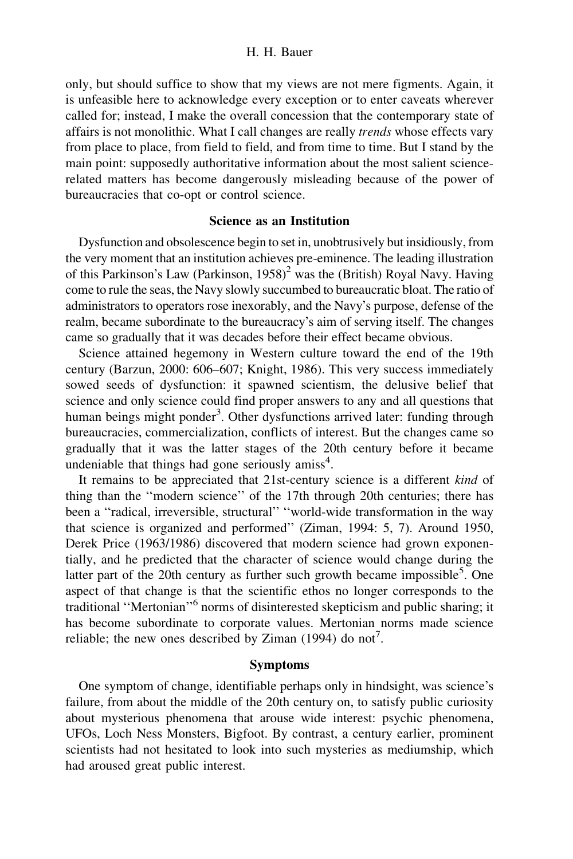only, but should suffice to show that my views are not mere figments. Again, it is unfeasible here to acknowledge every exception or to enter caveats wherever called for; instead, I make the overall concession that the contemporary state of affairs is not monolithic. What I call changes are really trends whose effects vary from place to place, from field to field, and from time to time. But I stand by the main point: supposedly authoritative information about the most salient sciencerelated matters has become dangerously misleading because of the power of bureaucracies that co-opt or control science.

# Science as an Institution

Dysfunction and obsolescence begin to set in, unobtrusively but insidiously, from the very moment that an institution achieves pre-eminence. The leading illustration of this Parkinson's Law (Parkinson,  $1958$ )<sup>2</sup> was the (British) Royal Navy. Having come to rule the seas, the Navy slowly succumbed to bureaucratic bloat. The ratio of administrators to operators rose inexorably, and the Navy's purpose, defense of the realm, became subordinate to the bureaucracy's aim of serving itself. The changes came so gradually that it was decades before their effect became obvious.

Science attained hegemony in Western culture toward the end of the 19th century (Barzun, 2000: 606–607; Knight, 1986). This very success immediately sowed seeds of dysfunction: it spawned scientism, the delusive belief that science and only science could find proper answers to any and all questions that human beings might ponder<sup>3</sup>. Other dysfunctions arrived later: funding through bureaucracies, commercialization, conflicts of interest. But the changes came so gradually that it was the latter stages of the 20th century before it became undeniable that things had gone seriously amiss<sup>4</sup>.

It remains to be appreciated that 21st-century science is a different kind of thing than the ''modern science'' of the 17th through 20th centuries; there has been a ''radical, irreversible, structural'' ''world-wide transformation in the way that science is organized and performed'' (Ziman, 1994: 5, 7). Around 1950, Derek Price (1963/1986) discovered that modern science had grown exponentially, and he predicted that the character of science would change during the latter part of the 20th century as further such growth became impossible<sup>5</sup>. One aspect of that change is that the scientific ethos no longer corresponds to the traditional ''Mertonian''<sup>6</sup> norms of disinterested skepticism and public sharing; it has become subordinate to corporate values. Mertonian norms made science reliable; the new ones described by Ziman  $(1994)$  do not<sup>7</sup>.

# Symptoms

One symptom of change, identifiable perhaps only in hindsight, was science's failure, from about the middle of the 20th century on, to satisfy public curiosity about mysterious phenomena that arouse wide interest: psychic phenomena, UFOs, Loch Ness Monsters, Bigfoot. By contrast, a century earlier, prominent scientists had not hesitated to look into such mysteries as mediumship, which had aroused great public interest.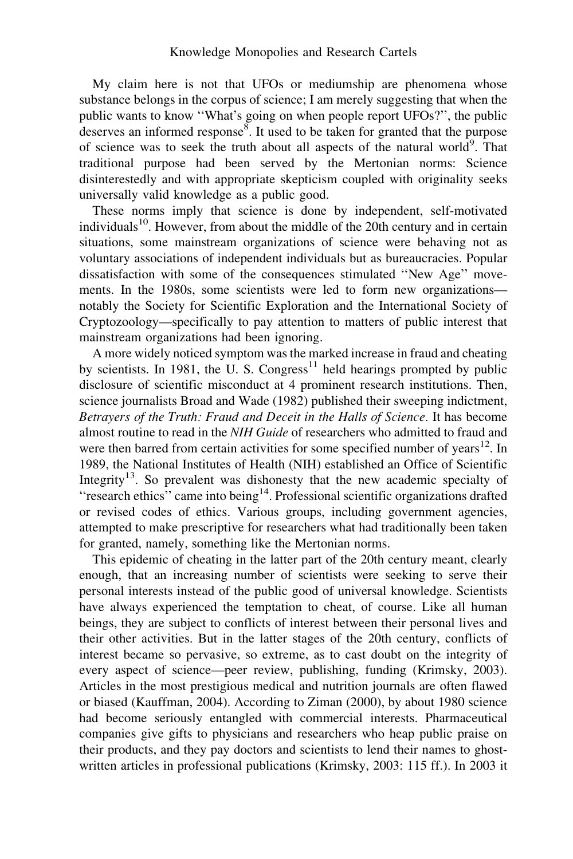My claim here is not that UFOs or mediumship are phenomena whose substance belongs in the corpus of science; I am merely suggesting that when the public wants to know ''What's going on when people report UFOs?'', the public deserves an informed response $\overline{8}$ . It used to be taken for granted that the purpose of science was to seek the truth about all aspects of the natural world<sup>9</sup>. That traditional purpose had been served by the Mertonian norms: Science disinterestedly and with appropriate skepticism coupled with originality seeks universally valid knowledge as a public good.

These norms imply that science is done by independent, self-motivated individuals<sup>10</sup>. However, from about the middle of the 20th century and in certain situations, some mainstream organizations of science were behaving not as voluntary associations of independent individuals but as bureaucracies. Popular dissatisfaction with some of the consequences stimulated ''New Age'' movements. In the 1980s, some scientists were led to form new organizations notably the Society for Scientific Exploration and the International Society of Cryptozoology—specifically to pay attention to matters of public interest that mainstream organizations had been ignoring.

A more widely noticed symptom was the marked increase in fraud and cheating by scientists. In 1981, the U. S. Congress<sup>11</sup> held hearings prompted by public disclosure of scientific misconduct at 4 prominent research institutions. Then, science journalists Broad and Wade (1982) published their sweeping indictment, Betrayers of the Truth: Fraud and Deceit in the Halls of Science. It has become almost routine to read in the NIH Guide of researchers who admitted to fraud and were then barred from certain activities for some specified number of years<sup>12</sup>. In 1989, the National Institutes of Health (NIH) established an Office of Scientific Integrity<sup>13</sup>. So prevalent was dishonesty that the new academic specialty of "research ethics" came into being<sup>14</sup>. Professional scientific organizations drafted or revised codes of ethics. Various groups, including government agencies, attempted to make prescriptive for researchers what had traditionally been taken for granted, namely, something like the Mertonian norms.

This epidemic of cheating in the latter part of the 20th century meant, clearly enough, that an increasing number of scientists were seeking to serve their personal interests instead of the public good of universal knowledge. Scientists have always experienced the temptation to cheat, of course. Like all human beings, they are subject to conflicts of interest between their personal lives and their other activities. But in the latter stages of the 20th century, conflicts of interest became so pervasive, so extreme, as to cast doubt on the integrity of every aspect of science—peer review, publishing, funding (Krimsky, 2003). Articles in the most prestigious medical and nutrition journals are often flawed or biased (Kauffman, 2004). According to Ziman (2000), by about 1980 science had become seriously entangled with commercial interests. Pharmaceutical companies give gifts to physicians and researchers who heap public praise on their products, and they pay doctors and scientists to lend their names to ghostwritten articles in professional publications (Krimsky, 2003: 115 ff.). In 2003 it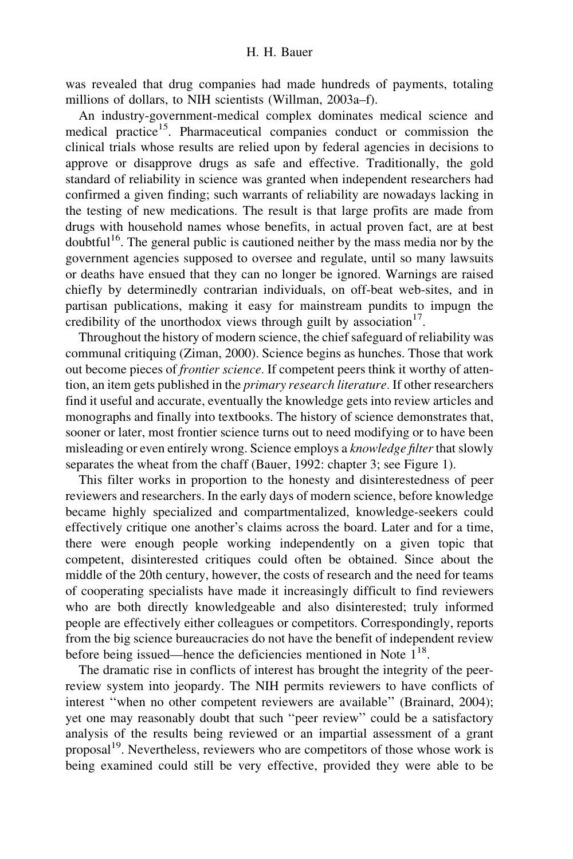was revealed that drug companies had made hundreds of payments, totaling millions of dollars, to NIH scientists (Willman, 2003a–f).

An industry-government-medical complex dominates medical science and medical practice<sup>15</sup>. Pharmaceutical companies conduct or commission the clinical trials whose results are relied upon by federal agencies in decisions to approve or disapprove drugs as safe and effective. Traditionally, the gold standard of reliability in science was granted when independent researchers had confirmed a given finding; such warrants of reliability are nowadays lacking in the testing of new medications. The result is that large profits are made from drugs with household names whose benefits, in actual proven fact, are at best doubtful<sup>16</sup>. The general public is cautioned neither by the mass media nor by the government agencies supposed to oversee and regulate, until so many lawsuits or deaths have ensued that they can no longer be ignored. Warnings are raised chiefly by determinedly contrarian individuals, on off-beat web-sites, and in partisan publications, making it easy for mainstream pundits to impugn the credibility of the unorthodox views through guilt by association<sup>17</sup>.

Throughout the history of modern science, the chief safeguard of reliability was communal critiquing (Ziman, 2000). Science begins as hunches. Those that work out become pieces of frontier science. If competent peers think it worthy of attention, an item gets published in the *primary research literature*. If other researchers find it useful and accurate, eventually the knowledge gets into review articles and monographs and finally into textbooks. The history of science demonstrates that, sooner or later, most frontier science turns out to need modifying or to have been misleading or even entirely wrong. Science employs a knowledge filter that slowly separates the wheat from the chaff (Bauer, 1992: chapter 3; see Figure 1).

This filter works in proportion to the honesty and disinterestedness of peer reviewers and researchers. In the early days of modern science, before knowledge became highly specialized and compartmentalized, knowledge-seekers could effectively critique one another's claims across the board. Later and for a time, there were enough people working independently on a given topic that competent, disinterested critiques could often be obtained. Since about the middle of the 20th century, however, the costs of research and the need for teams of cooperating specialists have made it increasingly difficult to find reviewers who are both directly knowledgeable and also disinterested; truly informed people are effectively either colleagues or competitors. Correspondingly, reports from the big science bureaucracies do not have the benefit of independent review before being issued—hence the deficiencies mentioned in Note  $1^{18}$ .

The dramatic rise in conflicts of interest has brought the integrity of the peerreview system into jeopardy. The NIH permits reviewers to have conflicts of interest ''when no other competent reviewers are available'' (Brainard, 2004); yet one may reasonably doubt that such ''peer review'' could be a satisfactory analysis of the results being reviewed or an impartial assessment of a grant proposal<sup>19</sup>. Nevertheless, reviewers who are competitors of those whose work is being examined could still be very effective, provided they were able to be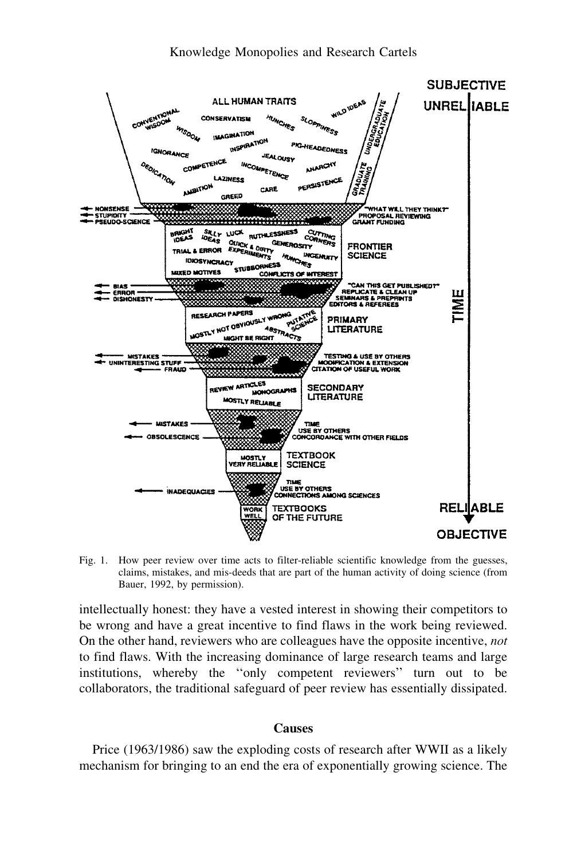



Fig. 1. How peer review over time acts to filter-reliable scientific knowledge from the guesses, claims, mistakes, and mis-deeds that are part of the human activity of doing science (from Bauer, 1992, by permission).

intellectually honest: they have a vested interest in showing their competitors to be wrong and have a great incentive to find flaws in the work being reviewed. On the other hand, reviewers who are colleagues have the opposite incentive, not to find flaws. With the increasing dominance of large research teams and large institutions, whereby the ''only competent reviewers'' turn out to be collaborators, the traditional safeguard of peer review has essentially dissipated.

### Causes

Price (1963/1986) saw the exploding costs of research after WWII as a likely mechanism for bringing to an end the era of exponentially growing science. The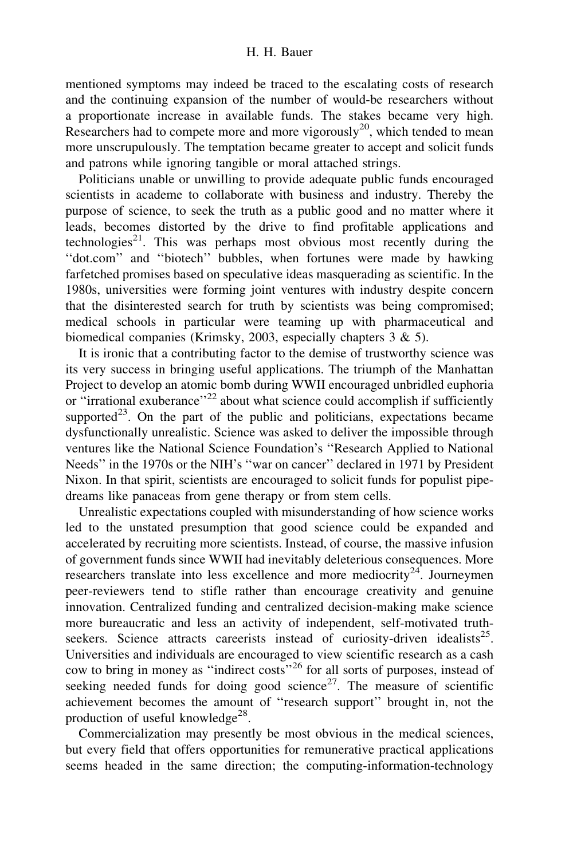mentioned symptoms may indeed be traced to the escalating costs of research and the continuing expansion of the number of would-be researchers without a proportionate increase in available funds. The stakes became very high. Researchers had to compete more and more vigorously<sup>20</sup>, which tended to mean more unscrupulously. The temptation became greater to accept and solicit funds and patrons while ignoring tangible or moral attached strings.

Politicians unable or unwilling to provide adequate public funds encouraged scientists in academe to collaborate with business and industry. Thereby the purpose of science, to seek the truth as a public good and no matter where it leads, becomes distorted by the drive to find profitable applications and technologies<sup>21</sup>. This was perhaps most obvious most recently during the ''dot.com'' and ''biotech'' bubbles, when fortunes were made by hawking farfetched promises based on speculative ideas masquerading as scientific. In the 1980s, universities were forming joint ventures with industry despite concern that the disinterested search for truth by scientists was being compromised; medical schools in particular were teaming up with pharmaceutical and biomedical companies (Krimsky, 2003, especially chapters 3 & 5).

It is ironic that a contributing factor to the demise of trustworthy science was its very success in bringing useful applications. The triumph of the Manhattan Project to develop an atomic bomb during WWII encouraged unbridled euphoria or "irrational exuberance"<sup>22</sup> about what science could accomplish if sufficiently supported<sup>23</sup>. On the part of the public and politicians, expectations became dysfunctionally unrealistic. Science was asked to deliver the impossible through ventures like the National Science Foundation's ''Research Applied to National Needs'' in the 1970s or the NIH's ''war on cancer'' declared in 1971 by President Nixon. In that spirit, scientists are encouraged to solicit funds for populist pipedreams like panaceas from gene therapy or from stem cells.

Unrealistic expectations coupled with misunderstanding of how science works led to the unstated presumption that good science could be expanded and accelerated by recruiting more scientists. Instead, of course, the massive infusion of government funds since WWII had inevitably deleterious consequences. More researchers translate into less excellence and more mediocrity<sup>24</sup>. Journeymen peer-reviewers tend to stifle rather than encourage creativity and genuine innovation. Centralized funding and centralized decision-making make science more bureaucratic and less an activity of independent, self-motivated truthseekers. Science attracts careerists instead of curiosity-driven idealists<sup>25</sup>. Universities and individuals are encouraged to view scientific research as a cash cow to bring in money as ''indirect costs''<sup>26</sup> for all sorts of purposes, instead of seeking needed funds for doing good science<sup>27</sup>. The measure of scientific achievement becomes the amount of ''research support'' brought in, not the production of useful knowledge<sup>28</sup>.

Commercialization may presently be most obvious in the medical sciences, but every field that offers opportunities for remunerative practical applications seems headed in the same direction; the computing-information-technology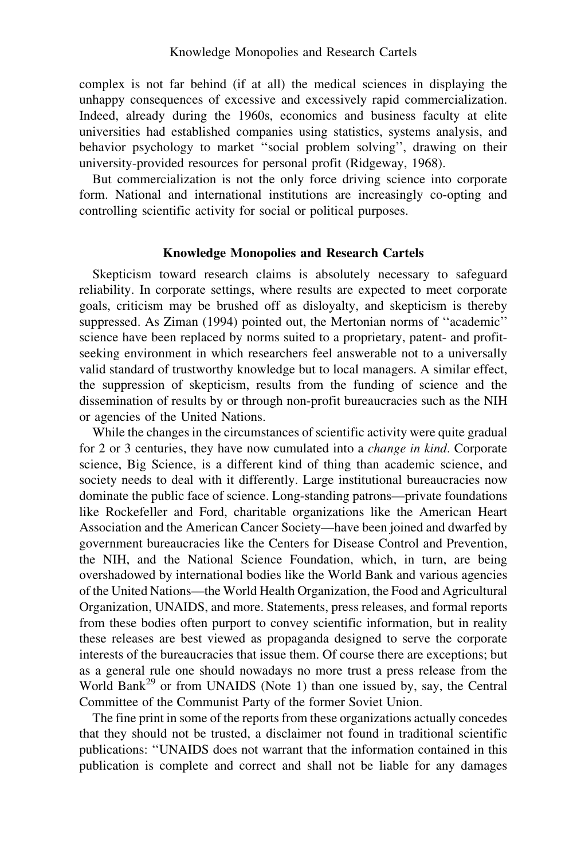complex is not far behind (if at all) the medical sciences in displaying the unhappy consequences of excessive and excessively rapid commercialization. Indeed, already during the 1960s, economics and business faculty at elite universities had established companies using statistics, systems analysis, and behavior psychology to market ''social problem solving'', drawing on their university-provided resources for personal profit (Ridgeway, 1968).

But commercialization is not the only force driving science into corporate form. National and international institutions are increasingly co-opting and controlling scientific activity for social or political purposes.

# Knowledge Monopolies and Research Cartels

Skepticism toward research claims is absolutely necessary to safeguard reliability. In corporate settings, where results are expected to meet corporate goals, criticism may be brushed off as disloyalty, and skepticism is thereby suppressed. As Ziman (1994) pointed out, the Mertonian norms of ''academic'' science have been replaced by norms suited to a proprietary, patent- and profitseeking environment in which researchers feel answerable not to a universally valid standard of trustworthy knowledge but to local managers. A similar effect, the suppression of skepticism, results from the funding of science and the dissemination of results by or through non-profit bureaucracies such as the NIH or agencies of the United Nations.

While the changes in the circumstances of scientific activity were quite gradual for 2 or 3 centuries, they have now cumulated into a change in kind. Corporate science, Big Science, is a different kind of thing than academic science, and society needs to deal with it differently. Large institutional bureaucracies now dominate the public face of science. Long-standing patrons—private foundations like Rockefeller and Ford, charitable organizations like the American Heart Association and the American Cancer Society—have been joined and dwarfed by government bureaucracies like the Centers for Disease Control and Prevention, the NIH, and the National Science Foundation, which, in turn, are being overshadowed by international bodies like the World Bank and various agencies of the United Nations—the World Health Organization, the Food and Agricultural Organization, UNAIDS, and more. Statements, press releases, and formal reports from these bodies often purport to convey scientific information, but in reality these releases are best viewed as propaganda designed to serve the corporate interests of the bureaucracies that issue them. Of course there are exceptions; but as a general rule one should nowadays no more trust a press release from the World Bank<sup>29</sup> or from UNAIDS (Note 1) than one issued by, say, the Central Committee of the Communist Party of the former Soviet Union.

The fine print in some of the reports from these organizations actually concedes that they should not be trusted, a disclaimer not found in traditional scientific publications: ''UNAIDS does not warrant that the information contained in this publication is complete and correct and shall not be liable for any damages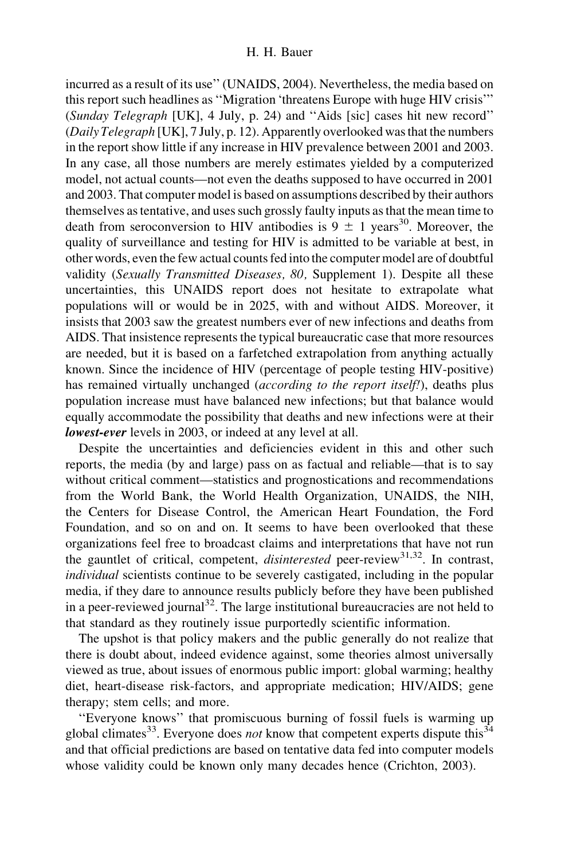incurred as a result of its use'' (UNAIDS, 2004). Nevertheless, the media based on this report such headlines as ''Migration 'threatens Europe with huge HIV crisis''' (Sunday Telegraph [UK], 4 July, p. 24) and ''Aids [sic] cases hit new record'' (Daily Telegraph [UK], 7 July, p. 12). Apparently overlooked was that the numbers in the report show little if any increase in HIV prevalence between 2001 and 2003. In any case, all those numbers are merely estimates yielded by a computerized model, not actual counts—not even the deaths supposed to have occurred in 2001 and 2003. That computer model is based on assumptions described by their authors themselves as tentative, and uses such grossly faulty inputs as that the mean time to death from seroconversion to HIV antibodies is  $9 \pm 1$  years<sup>30</sup>. Moreover, the quality of surveillance and testing for HIV is admitted to be variable at best, in other words, even the few actual counts fed into the computer model are of doubtful validity (Sexually Transmitted Diseases, 80, Supplement 1). Despite all these uncertainties, this UNAIDS report does not hesitate to extrapolate what populations will or would be in 2025, with and without AIDS. Moreover, it insists that 2003 saw the greatest numbers ever of new infections and deaths from AIDS. That insistence represents the typical bureaucratic case that more resources are needed, but it is based on a farfetched extrapolation from anything actually known. Since the incidence of HIV (percentage of people testing HIV-positive) has remained virtually unchanged *(according to the report itself!)*, deaths plus population increase must have balanced new infections; but that balance would equally accommodate the possibility that deaths and new infections were at their lowest-ever levels in 2003, or indeed at any level at all.

Despite the uncertainties and deficiencies evident in this and other such reports, the media (by and large) pass on as factual and reliable—that is to say without critical comment—statistics and prognostications and recommendations from the World Bank, the World Health Organization, UNAIDS, the NIH, the Centers for Disease Control, the American Heart Foundation, the Ford Foundation, and so on and on. It seems to have been overlooked that these organizations feel free to broadcast claims and interpretations that have not run the gauntlet of critical, competent, *disinterested* peer-review<sup>31,32</sup>. In contrast, individual scientists continue to be severely castigated, including in the popular media, if they dare to announce results publicly before they have been published in a peer-reviewed journal<sup>32</sup>. The large institutional bureaucracies are not held to that standard as they routinely issue purportedly scientific information.

The upshot is that policy makers and the public generally do not realize that there is doubt about, indeed evidence against, some theories almost universally viewed as true, about issues of enormous public import: global warming; healthy diet, heart-disease risk-factors, and appropriate medication; HIV/AIDS; gene therapy; stem cells; and more.

''Everyone knows'' that promiscuous burning of fossil fuels is warming up global climates<sup>33</sup>. Everyone does *not* know that competent experts dispute this<sup>34</sup> and that official predictions are based on tentative data fed into computer models whose validity could be known only many decades hence (Crichton, 2003).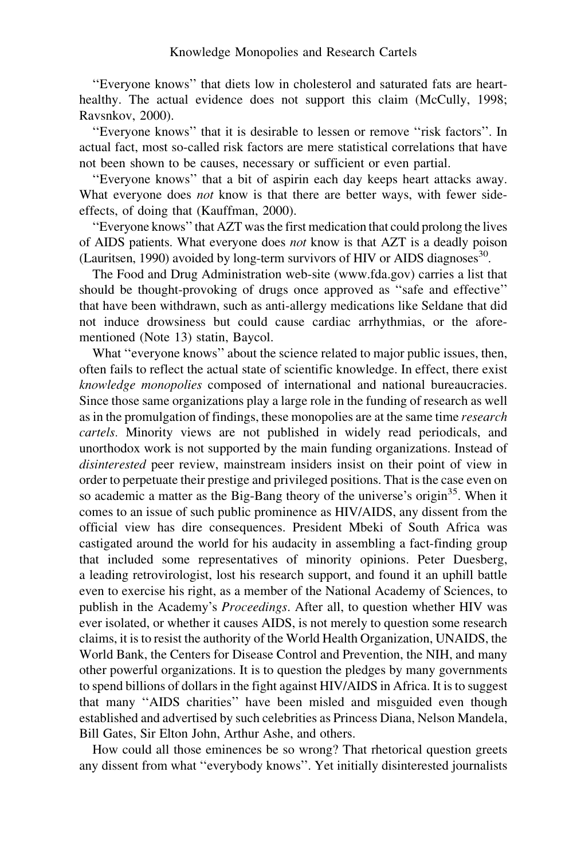''Everyone knows'' that diets low in cholesterol and saturated fats are hearthealthy. The actual evidence does not support this claim (McCully, 1998; Ravsnkov, 2000).

"Everyone knows" that it is desirable to lessen or remove "risk factors". In actual fact, most so-called risk factors are mere statistical correlations that have not been shown to be causes, necessary or sufficient or even partial.

''Everyone knows'' that a bit of aspirin each day keeps heart attacks away. What everyone does *not* know is that there are better ways, with fewer sideeffects, of doing that (Kauffman, 2000).

''Everyone knows'' that AZT was the first medication that could prolong the lives of AIDS patients. What everyone does not know is that AZT is a deadly poison (Lauritsen, 1990) avoided by long-term survivors of HIV or AIDS diagnoses<sup>30</sup>.

The Food and Drug Administration web-site (www.fda.gov) carries a list that should be thought-provoking of drugs once approved as ''safe and effective'' that have been withdrawn, such as anti-allergy medications like Seldane that did not induce drowsiness but could cause cardiac arrhythmias, or the aforementioned (Note 13) statin, Baycol.

What ''everyone knows'' about the science related to major public issues, then, often fails to reflect the actual state of scientific knowledge. In effect, there exist knowledge monopolies composed of international and national bureaucracies. Since those same organizations play a large role in the funding of research as well as in the promulgation of findings, these monopolies are at the same time research cartels. Minority views are not published in widely read periodicals, and unorthodox work is not supported by the main funding organizations. Instead of disinterested peer review, mainstream insiders insist on their point of view in order to perpetuate their prestige and privileged positions. That is the case even on so academic a matter as the Big-Bang theory of the universe's origin<sup>35</sup>. When it comes to an issue of such public prominence as HIV/AIDS, any dissent from the official view has dire consequences. President Mbeki of South Africa was castigated around the world for his audacity in assembling a fact-finding group that included some representatives of minority opinions. Peter Duesberg, a leading retrovirologist, lost his research support, and found it an uphill battle even to exercise his right, as a member of the National Academy of Sciences, to publish in the Academy's Proceedings. After all, to question whether HIV was ever isolated, or whether it causes AIDS, is not merely to question some research claims, it is to resist the authority of the World Health Organization, UNAIDS, the World Bank, the Centers for Disease Control and Prevention, the NIH, and many other powerful organizations. It is to question the pledges by many governments to spend billions of dollars in the fight against HIV/AIDS in Africa. It is to suggest that many ''AIDS charities'' have been misled and misguided even though established and advertised by such celebrities as Princess Diana, Nelson Mandela, Bill Gates, Sir Elton John, Arthur Ashe, and others.

How could all those eminences be so wrong? That rhetorical question greets any dissent from what ''everybody knows''. Yet initially disinterested journalists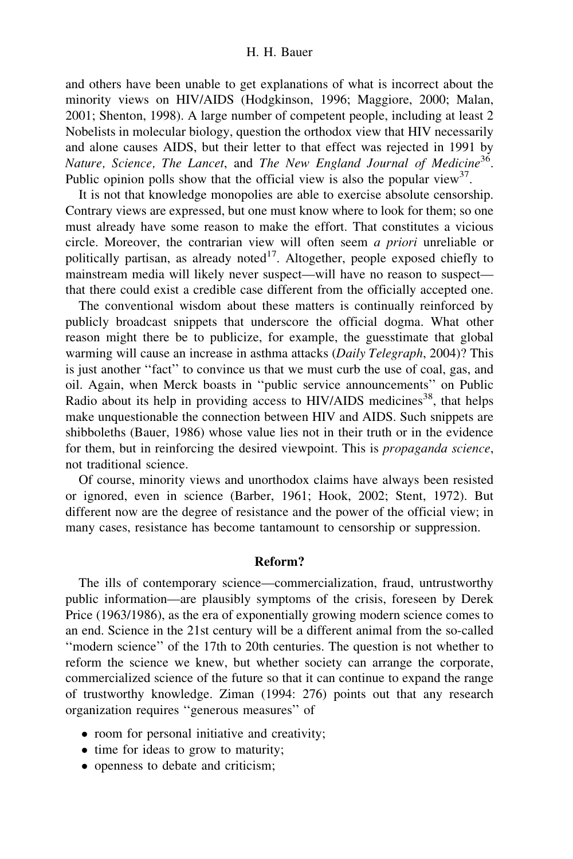and others have been unable to get explanations of what is incorrect about the minority views on HIV/AIDS (Hodgkinson, 1996; Maggiore, 2000; Malan, 2001; Shenton, 1998). A large number of competent people, including at least 2 Nobelists in molecular biology, question the orthodox view that HIV necessarily and alone causes AIDS, but their letter to that effect was rejected in 1991 by Nature, Science, The Lancet, and The New England Journal of Medicine<sup>36</sup>. Public opinion polls show that the official view is also the popular view<sup>37</sup>.

It is not that knowledge monopolies are able to exercise absolute censorship. Contrary views are expressed, but one must know where to look for them; so one must already have some reason to make the effort. That constitutes a vicious circle. Moreover, the contrarian view will often seem a priori unreliable or politically partisan, as already noted $17$ . Altogether, people exposed chiefly to mainstream media will likely never suspect—will have no reason to suspect that there could exist a credible case different from the officially accepted one.

The conventional wisdom about these matters is continually reinforced by publicly broadcast snippets that underscore the official dogma. What other reason might there be to publicize, for example, the guesstimate that global warming will cause an increase in asthma attacks (Daily Telegraph, 2004)? This is just another ''fact'' to convince us that we must curb the use of coal, gas, and oil. Again, when Merck boasts in ''public service announcements'' on Public Radio about its help in providing access to HIV/AIDS medicines<sup>38</sup>, that helps make unquestionable the connection between HIV and AIDS. Such snippets are shibboleths (Bauer, 1986) whose value lies not in their truth or in the evidence for them, but in reinforcing the desired viewpoint. This is propaganda science, not traditional science.

Of course, minority views and unorthodox claims have always been resisted or ignored, even in science (Barber, 1961; Hook, 2002; Stent, 1972). But different now are the degree of resistance and the power of the official view; in many cases, resistance has become tantamount to censorship or suppression.

#### Reform?

The ills of contemporary science—commercialization, fraud, untrustworthy public information—are plausibly symptoms of the crisis, foreseen by Derek Price (1963/1986), as the era of exponentially growing modern science comes to an end. Science in the 21st century will be a different animal from the so-called ''modern science'' of the 17th to 20th centuries. The question is not whether to reform the science we knew, but whether society can arrange the corporate, commercialized science of the future so that it can continue to expand the range of trustworthy knowledge. Ziman (1994: 276) points out that any research organization requires ''generous measures'' of

- room for personal initiative and creativity;
- time for ideas to grow to maturity;
- openness to debate and criticism;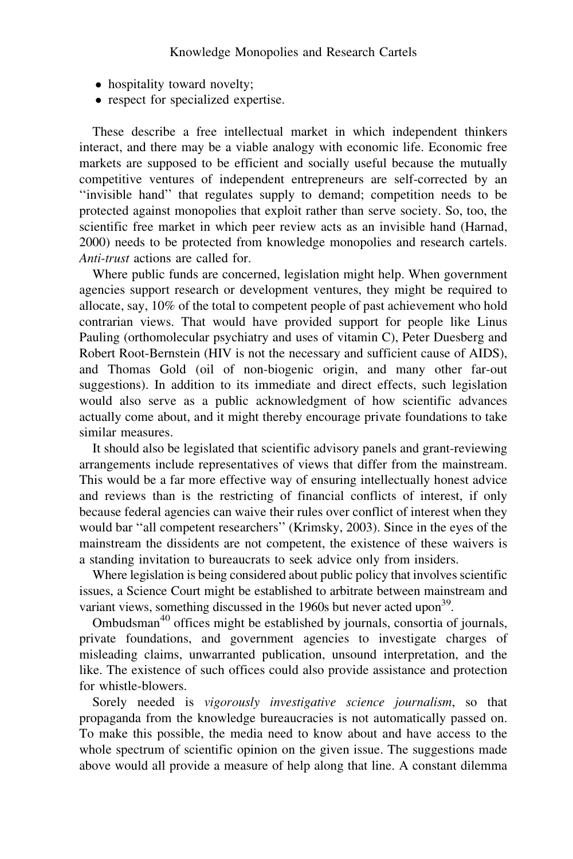- hospitality toward novelty;
- respect for specialized expertise.

These describe a free intellectual market in which independent thinkers interact, and there may be a viable analogy with economic life. Economic free markets are supposed to be efficient and socially useful because the mutually competitive ventures of independent entrepreneurs are self-corrected by an ''invisible hand'' that regulates supply to demand; competition needs to be protected against monopolies that exploit rather than serve society. So, too, the scientific free market in which peer review acts as an invisible hand (Harnad, 2000) needs to be protected from knowledge monopolies and research cartels. Anti-trust actions are called for.

Where public funds are concerned, legislation might help. When government agencies support research or development ventures, they might be required to allocate, say, 10% of the total to competent people of past achievement who hold contrarian views. That would have provided support for people like Linus Pauling (orthomolecular psychiatry and uses of vitamin C), Peter Duesberg and Robert Root-Bernstein (HIV is not the necessary and sufficient cause of AIDS), and Thomas Gold (oil of non-biogenic origin, and many other far-out suggestions). In addition to its immediate and direct effects, such legislation would also serve as a public acknowledgment of how scientific advances actually come about, and it might thereby encourage private foundations to take similar measures.

It should also be legislated that scientific advisory panels and grant-reviewing arrangements include representatives of views that differ from the mainstream. This would be a far more effective way of ensuring intellectually honest advice and reviews than is the restricting of financial conflicts of interest, if only because federal agencies can waive their rules over conflict of interest when they would bar ''all competent researchers'' (Krimsky, 2003). Since in the eyes of the mainstream the dissidents are not competent, the existence of these waivers is a standing invitation to bureaucrats to seek advice only from insiders.

Where legislation is being considered about public policy that involves scientific issues, a Science Court might be established to arbitrate between mainstream and variant views, something discussed in the 1960s but never acted upon<sup>39</sup>.

Ombudsman<sup>40</sup> offices might be established by journals, consortia of journals, private foundations, and government agencies to investigate charges of misleading claims, unwarranted publication, unsound interpretation, and the like. The existence of such offices could also provide assistance and protection for whistle-blowers.

Sorely needed is vigorously investigative science journalism, so that propaganda from the knowledge bureaucracies is not automatically passed on. To make this possible, the media need to know about and have access to the whole spectrum of scientific opinion on the given issue. The suggestions made above would all provide a measure of help along that line. A constant dilemma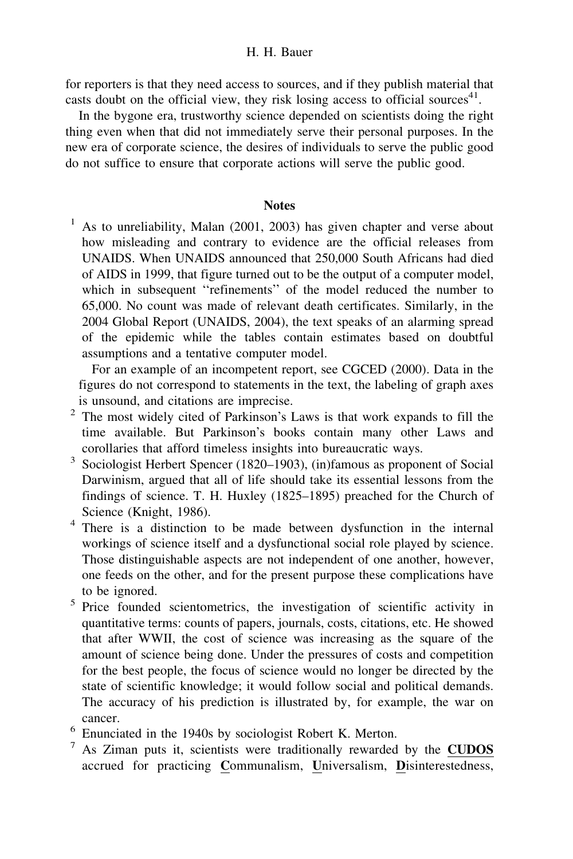for reporters is that they need access to sources, and if they publish material that casts doubt on the official view, they risk losing access to official sources<sup>41</sup>.

In the bygone era, trustworthy science depended on scientists doing the right thing even when that did not immediately serve their personal purposes. In the new era of corporate science, the desires of individuals to serve the public good do not suffice to ensure that corporate actions will serve the public good.

# **Notes**

 $1$  As to unreliability, Malan (2001, 2003) has given chapter and verse about how misleading and contrary to evidence are the official releases from UNAIDS. When UNAIDS announced that 250,000 South Africans had died of AIDS in 1999, that figure turned out to be the output of a computer model, which in subsequent ''refinements'' of the model reduced the number to 65,000. No count was made of relevant death certificates. Similarly, in the 2004 Global Report (UNAIDS, 2004), the text speaks of an alarming spread of the epidemic while the tables contain estimates based on doubtful assumptions and a tentative computer model.

For an example of an incompetent report, see CGCED (2000). Data in the figures do not correspond to statements in the text, the labeling of graph axes is unsound, and citations are imprecise.

- <sup>2</sup> The most widely cited of Parkinson's Laws is that work expands to fill the time available. But Parkinson's books contain many other Laws and corollaries that afford timeless insights into bureaucratic ways.
- <sup>3</sup> Sociologist Herbert Spencer (1820–1903), (in)famous as proponent of Social Darwinism, argued that all of life should take its essential lessons from the findings of science. T. H. Huxley (1825–1895) preached for the Church of
- Science (Knight, 1986). <sup>4</sup> There is a distinction to be made between dysfunction in the internal workings of science itself and a dysfunctional social role played by science. Those distinguishable aspects are not independent of one another, however, one feeds on the other, and for the present purpose these complications have to be ignored.
- <sup>5</sup> Price founded scientometrics, the investigation of scientific activity in quantitative terms: counts of papers, journals, costs, citations, etc. He showed that after WWII, the cost of science was increasing as the square of the amount of science being done. Under the pressures of costs and competition for the best people, the focus of science would no longer be directed by the state of scientific knowledge; it would follow social and political demands. The accuracy of his prediction is illustrated by, for example, the war on
- cancer.<br><sup>6</sup> Enunciated in the 1940s by sociologist Robert K. Merton.
- As Ziman puts it, scientists were traditionally rewarded by the CUDOS accrued for practicing Communalism, Universalism, Disinterestedness,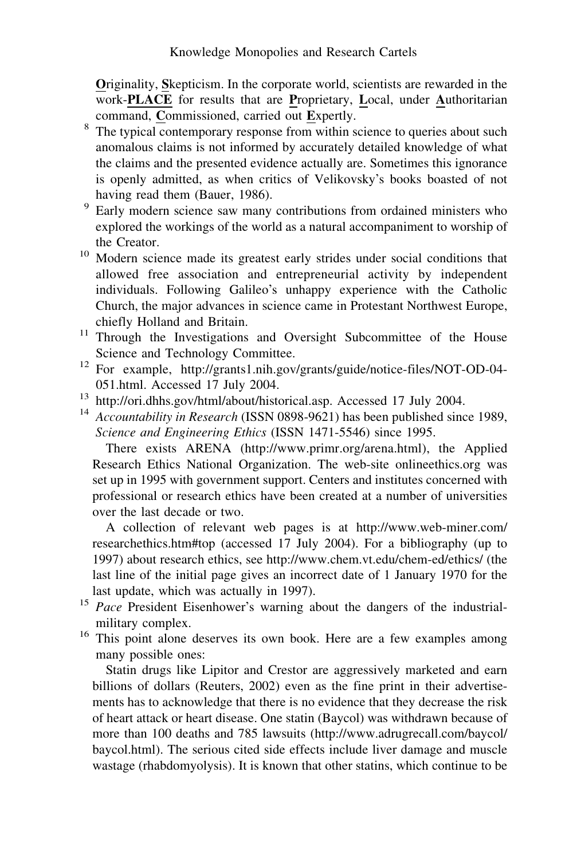Originality, Skepticism. In the corporate world, scientists are rewarded in the work-PLACE for results that are Proprietary, Local, under Authoritarian command, Commissioned, carried out Expertly.

- <sup>8</sup> The typical contemporary response from within science to queries about such anomalous claims is not informed by accurately detailed knowledge of what the claims and the presented evidence actually are. Sometimes this ignorance is openly admitted, as when critics of Velikovsky's books boasted of not having read them (Bauer, 1986).
- <sup>9</sup> Early modern science saw many contributions from ordained ministers who explored the workings of the world as a natural accompaniment to worship of the Creator.
- <sup>10</sup> Modern science made its greatest early strides under social conditions that allowed free association and entrepreneurial activity by independent individuals. Following Galileo's unhappy experience with the Catholic Church, the major advances in science came in Protestant Northwest Europe,
- chiefly Holland and Britain.<br><sup>11</sup> Through the Investigations and Oversight Subcommittee of the House
- Science and Technology Committee.<br><sup>12</sup> For example, http://grants1.nih.gov/grants/guide/notice-files/NOT-OD-04-051.html. Accessed 17 July 2004.
- 
- <sup>13</sup> http://ori.dhhs.gov/html/about/historical.asp. Accessed 17 July 2004.<br><sup>14</sup> Accountability in Research (ISSN 0898-9621) has been published since 1989, Science and Engineering Ethics (ISSN 1471-5546) since 1995.

There exists ARENA (http://www.primr.org/arena.html), the Applied Research Ethics National Organization. The web-site onlineethics.org was set up in 1995 with government support. Centers and institutes concerned with professional or research ethics have been created at a number of universities over the last decade or two.

A collection of relevant web pages is at http://www.web-miner.com/ researchethics.htm#top (accessed 17 July 2004). For a bibliography (up to 1997) about research ethics, see http://www.chem.vt.edu/chem-ed/ethics/ (the last line of the initial page gives an incorrect date of 1 January 1970 for the last update, which was actually in 1997).

- <sup>15</sup> Pace President Eisenhower's warning about the dangers of the industrialmilitary complex.
- <sup>16</sup> This point alone deserves its own book. Here are a few examples among many possible ones:

Statin drugs like Lipitor and Crestor are aggressively marketed and earn billions of dollars (Reuters, 2002) even as the fine print in their advertisements has to acknowledge that there is no evidence that they decrease the risk of heart attack or heart disease. One statin (Baycol) was withdrawn because of more than 100 deaths and 785 lawsuits (http://www.adrugrecall.com/baycol/ baycol.html). The serious cited side effects include liver damage and muscle wastage (rhabdomyolysis). It is known that other statins, which continue to be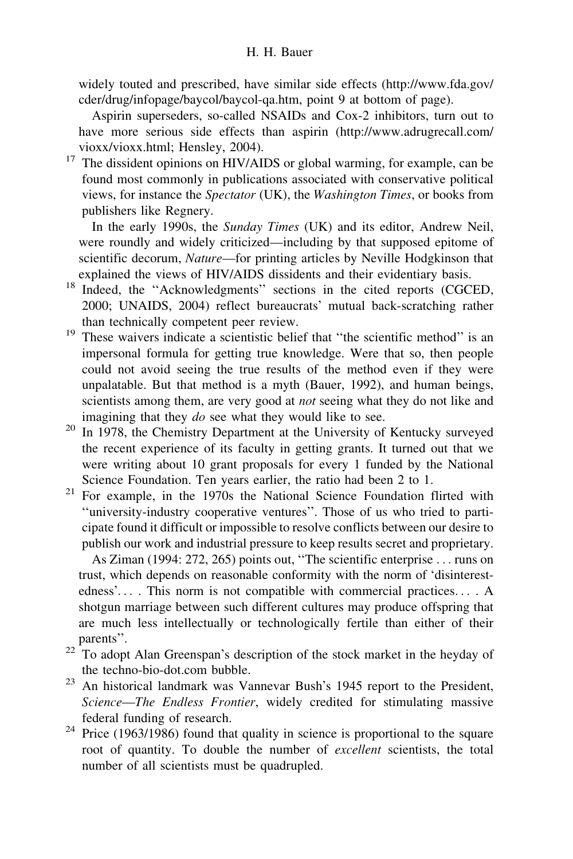widely touted and prescribed, have similar side effects (http://www.fda.gov/ cder/drug/infopage/baycol/baycol-qa.htm, point 9 at bottom of page).

Aspirin superseders, so-called NSAIDs and Cox-2 inhibitors, turn out to have more serious side effects than aspirin (http://www.adrugrecall.com/ vioxx/vioxx.html; Hensley, 2004).

 $17$  The dissident opinions on HIV/AIDS or global warming, for example, can be found most commonly in publications associated with conservative political views, for instance the *Spectator* (UK), the *Washington Times*, or books from publishers like Regnery.

In the early 1990s, the Sunday Times (UK) and its editor, Andrew Neil, were roundly and widely criticized—including by that supposed epitome of scientific decorum, Nature—for printing articles by Neville Hodgkinson that explained the views of HIV/AIDS dissidents and their evidentiary basis.

- <sup>18</sup> Indeed, the "Acknowledgments" sections in the cited reports (CGCED, 2000; UNAIDS, 2004) reflect bureaucrats' mutual back-scratching rather than technically competent peer review.
- <sup>19</sup> These waivers indicate a scientistic belief that "the scientific method" is an impersonal formula for getting true knowledge. Were that so, then people could not avoid seeing the true results of the method even if they were unpalatable. But that method is a myth (Bauer, 1992), and human beings, scientists among them, are very good at *not* seeing what they do not like and imagining that they do see what they would like to see.
- <sup>20</sup> In 1978, the Chemistry Department at the University of Kentucky surveyed the recent experience of its faculty in getting grants. It turned out that we were writing about 10 grant proposals for every 1 funded by the National
- Science Foundation. Ten years earlier, the ratio had been 2 to 1.<br><sup>21</sup> For example, in the 1970s the National Science Foundation flirted with ''university-industry cooperative ventures''. Those of us who tried to participate found it difficult or impossible to resolve conflicts between our desire to publish our work and industrial pressure to keep results secret and proprietary.

As Ziman (1994: 272, 265) points out, ''The scientific enterprise ... runs on trust, which depends on reasonable conformity with the norm of 'disinterestedness'... . This norm is not compatible with commercial practices... . A shotgun marriage between such different cultures may produce offspring that are much less intellectually or technologically fertile than either of their

- parents''. <sup>22</sup> To adopt Alan Greenspan's description of the stock market in the heyday of the techno-bio-dot.com bubble.
- $23$  An historical landmark was Vannevar Bush's 1945 report to the President, Science—The Endless Frontier, widely credited for stimulating massive
- federal funding of research. <sup>24</sup> Price (1963/1986) found that quality in science is proportional to the square root of quantity. To double the number of excellent scientists, the total number of all scientists must be quadrupled.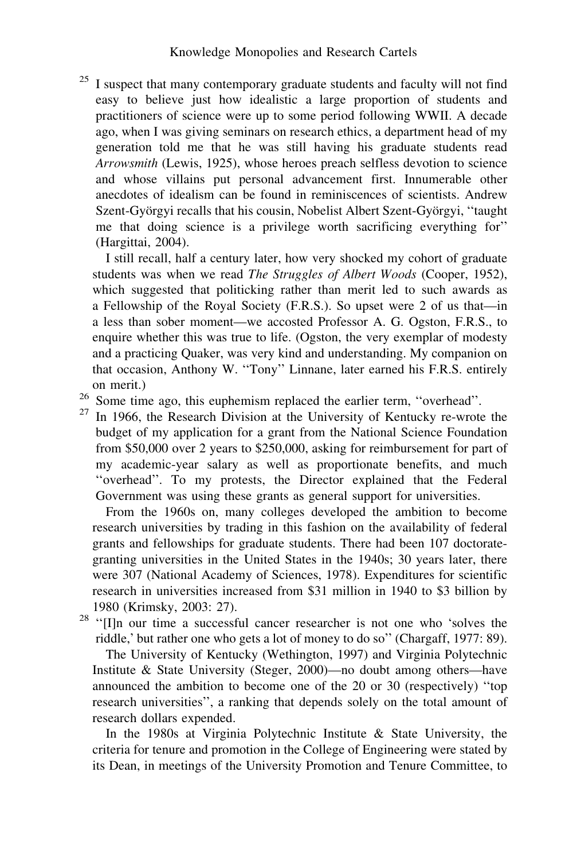<sup>25</sup> I suspect that many contemporary graduate students and faculty will not find easy to believe just how idealistic a large proportion of students and practitioners of science were up to some period following WWII. A decade ago, when I was giving seminars on research ethics, a department head of my generation told me that he was still having his graduate students read Arrowsmith (Lewis, 1925), whose heroes preach selfless devotion to science and whose villains put personal advancement first. Innumerable other anecdotes of idealism can be found in reminiscences of scientists. Andrew Szent-Györgyi recalls that his cousin, Nobelist Albert Szent-Györgyi, "taught me that doing science is a privilege worth sacrificing everything for'' (Hargittai, 2004).

I still recall, half a century later, how very shocked my cohort of graduate students was when we read The Struggles of Albert Woods (Cooper, 1952), which suggested that politicking rather than merit led to such awards as a Fellowship of the Royal Society (F.R.S.). So upset were 2 of us that—in a less than sober moment—we accosted Professor A. G. Ogston, F.R.S., to enquire whether this was true to life. (Ogston, the very exemplar of modesty and a practicing Quaker, was very kind and understanding. My companion on that occasion, Anthony W. ''Tony'' Linnane, later earned his F.R.S. entirely on merit.)

- <sup>26</sup> Some time ago, this euphemism replaced the earlier term, "overhead".<br><sup>27</sup> In 1966, the Research Division at the University of Kentucky re-wrote the
- budget of my application for a grant from the National Science Foundation from \$50,000 over 2 years to \$250,000, asking for reimbursement for part of my academic-year salary as well as proportionate benefits, and much ''overhead''. To my protests, the Director explained that the Federal Government was using these grants as general support for universities.

From the 1960s on, many colleges developed the ambition to become research universities by trading in this fashion on the availability of federal grants and fellowships for graduate students. There had been 107 doctorategranting universities in the United States in the 1940s; 30 years later, there were 307 (National Academy of Sciences, 1978). Expenditures for scientific research in universities increased from \$31 million in 1940 to \$3 billion by 1980 (Krimsky, 2003: 27).

<sup>28</sup> "[I]n our time a successful cancer researcher is not one who 'solves the riddle,' but rather one who gets a lot of money to do so'' (Chargaff, 1977: 89).

The University of Kentucky (Wethington, 1997) and Virginia Polytechnic Institute & State University (Steger, 2000)—no doubt among others—have announced the ambition to become one of the 20 or 30 (respectively) ''top research universities'', a ranking that depends solely on the total amount of research dollars expended.

In the 1980s at Virginia Polytechnic Institute & State University, the criteria for tenure and promotion in the College of Engineering were stated by its Dean, in meetings of the University Promotion and Tenure Committee, to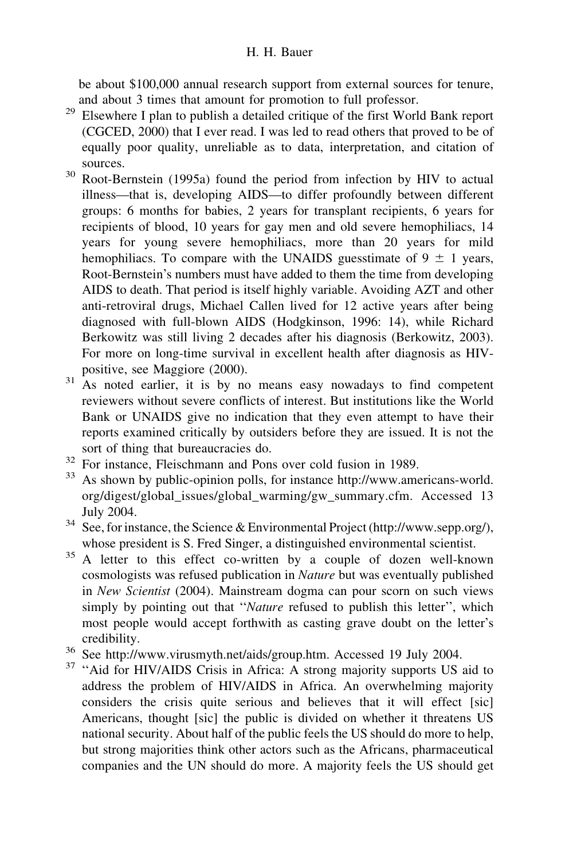be about \$100,000 annual research support from external sources for tenure, and about 3 times that amount for promotion to full professor.

- $29$  Elsewhere I plan to publish a detailed critique of the first World Bank report (CGCED, 2000) that I ever read. I was led to read others that proved to be of equally poor quality, unreliable as to data, interpretation, and citation of sources.
- <sup>30</sup> Root-Bernstein (1995a) found the period from infection by HIV to actual illness—that is, developing AIDS—to differ profoundly between different groups: 6 months for babies, 2 years for transplant recipients, 6 years for recipients of blood, 10 years for gay men and old severe hemophiliacs, 14 years for young severe hemophiliacs, more than 20 years for mild hemophiliacs. To compare with the UNAIDS guesstimate of  $9 \pm 1$  years, Root-Bernstein's numbers must have added to them the time from developing AIDS to death. That period is itself highly variable. Avoiding AZT and other anti-retroviral drugs, Michael Callen lived for 12 active years after being diagnosed with full-blown AIDS (Hodgkinson, 1996: 14), while Richard Berkowitz was still living 2 decades after his diagnosis (Berkowitz, 2003). For more on long-time survival in excellent health after diagnosis as HIVpositive, see Maggiore (2000).
- <sup>31</sup> As noted earlier, it is by no means easy nowadays to find competent reviewers without severe conflicts of interest. But institutions like the World Bank or UNAIDS give no indication that they even attempt to have their reports examined critically by outsiders before they are issued. It is not the sort of thing that bureaucracies do.
- <sup>32</sup> For instance, Fleischmann and Pons over cold fusion in 1989.
- <sup>33</sup> As shown by public-opinion polls, for instance http://www.americans-world. org/digest/global\_issues/global\_warming/gw\_summary.cfm. Accessed 13 July 2004.
- <sup>34</sup> See, for instance, the Science & Environmental Project (http://www.sepp.org/), whose president is S. Fred Singer, a distinguished environmental scientist.
- <sup>35</sup> A letter to this effect co-written by a couple of dozen well-known cosmologists was refused publication in Nature but was eventually published in New Scientist (2004). Mainstream dogma can pour scorn on such views simply by pointing out that "Nature refused to publish this letter", which most people would accept forthwith as casting grave doubt on the letter's credibility.
- <sup>36</sup> See http://www.virusmyth.net/aids/group.htm. Accessed 19 July 2004.
- <sup>37</sup> "Aid for HIV/AIDS Crisis in Africa: A strong majority supports US aid to address the problem of HIV/AIDS in Africa. An overwhelming majority considers the crisis quite serious and believes that it will effect [sic] Americans, thought [sic] the public is divided on whether it threatens US national security. About half of the public feels the US should do more to help, but strong majorities think other actors such as the Africans, pharmaceutical companies and the UN should do more. A majority feels the US should get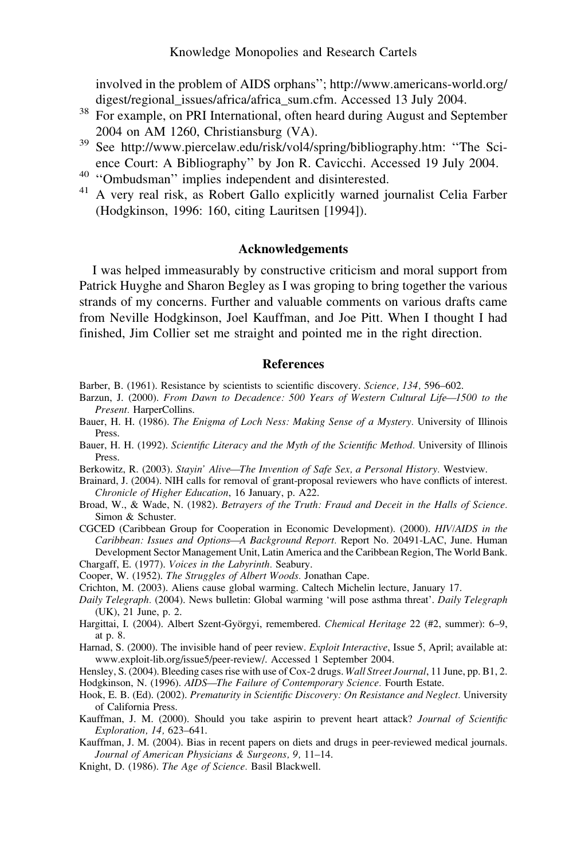involved in the problem of AIDS orphans''; http://www.americans-world.org/ digest/regional\_issues/africa/africa\_sum.cfm. Accessed 13 July 2004.

- <sup>38</sup> For example, on PRI International, often heard during August and September 2004 on AM 1260, Christiansburg (VA).
- <sup>39</sup> See http://www.piercelaw.edu/risk/vol4/spring/bibliography.htm: ''The Science Court: A Bibliography" by Jon R. Cavicchi. Accessed 19 July 2004.<br><sup>40</sup> "Ombudsman" implies independent and disinterested.
- 
- <sup>41</sup> A very real risk, as Robert Gallo explicitly warned journalist Celia Farber (Hodgkinson, 1996: 160, citing Lauritsen [1994]).

# Acknowledgements

I was helped immeasurably by constructive criticism and moral support from Patrick Huyghe and Sharon Begley as I was groping to bring together the various strands of my concerns. Further and valuable comments on various drafts came from Neville Hodgkinson, Joel Kauffman, and Joe Pitt. When I thought I had finished, Jim Collier set me straight and pointed me in the right direction.

### References

- Barber, B. (1961). Resistance by scientists to scientific discovery. Science, 134, 596–602.
- Barzun, J. (2000). From Dawn to Decadence: 500 Years of Western Cultural Life—1500 to the Present. HarperCollins.
- Bauer, H. H. (1986). The Enigma of Loch Ness: Making Sense of a Mystery. University of Illinois Press.
- Bauer, H. H. (1992). Scientific Literacy and the Myth of the Scientific Method. University of Illinois Press.
- Berkowitz, R. (2003). Stayin' Alive—The Invention of Safe Sex, a Personal History. Westview.
- Brainard, J. (2004). NIH calls for removal of grant-proposal reviewers who have conflicts of interest. Chronicle of Higher Education, 16 January, p. A22.
- Broad, W., & Wade, N. (1982). Betrayers of the Truth: Fraud and Deceit in the Halls of Science. Simon & Schuster.
- CGCED (Caribbean Group for Cooperation in Economic Development). (2000). HIV/AIDS in the Caribbean: Issues and Options—A Background Report. Report No. 20491-LAC, June. Human Development Sector Management Unit, Latin America and the Caribbean Region, The World Bank. Chargaff, E. (1977). Voices in the Labyrinth. Seabury.

Cooper, W. (1952). The Struggles of Albert Woods. Jonathan Cape.

- Crichton, M. (2003). Aliens cause global warming. Caltech Michelin lecture, January 17.
- Daily Telegraph. (2004). News bulletin: Global warming 'will pose asthma threat'. Daily Telegraph (UK), 21 June, p. 2.
- Hargittai, I. (2004). Albert Szent-Györgyi, remembered. Chemical Heritage 22 (#2, summer): 6–9, at p. 8.
- Harnad, S. (2000). The invisible hand of peer review. Exploit Interactive, Issue 5, April; available at: www.exploit-lib.org/issue5/peer-review/. Accessed 1 September 2004.
- Hensley, S. (2004). Bleeding cases rise with use of Cox-2 drugs. Wall Street Journal, 11 June, pp. B1, 2. Hodgkinson, N. (1996). AIDS—The Failure of Contemporary Science. Fourth Estate.
- Hook, E. B. (Ed). (2002). Prematurity in Scientific Discovery: On Resistance and Neglect. University of California Press.
- Kauffman, J. M. (2000). Should you take aspirin to prevent heart attack? *Journal of Scientific* Exploration, 14, 623–641.
- Kauffman, J. M. (2004). Bias in recent papers on diets and drugs in peer-reviewed medical journals. Journal of American Physicians & Surgeons, 9, 11–14.
- Knight, D. (1986). The Age of Science. Basil Blackwell.